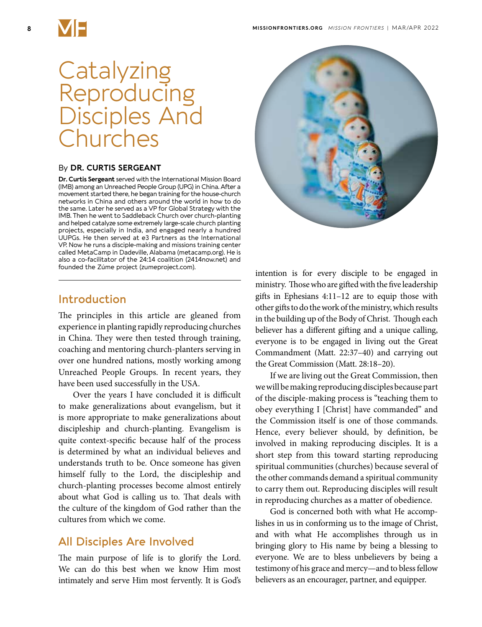

# **Catalyzing Reproducing** Disciples And **Churches**

#### By **DR. CURTIS SERGEANT**

**Dr. Curtis Sergeant** served with the International Mission Board (IMB) among an Unreached People Group (UPG) in China. After a movement started there, he began training for the house-church networks in China and others around the world in how to do the same. Later he served as a VP for Global Strategy with the IMB. Then he went to Saddleback Church over church-planting and helped catalyze some extremely large-scale church planting projects, especially in India, and engaged nearly a hundred UUPGs. He then served at e3 Partners as the International VP. Now he runs a disciple-making and missions training center called MetaCamp in Dadeville, Alabama (metacamp.org). He is also a co-facilitator of the 24:14 coalition (2414now.net) and founded the Zúme project (zumeproject.com).

#### **Introduction**

The principles in this article are gleaned from experience in planting rapidly reproducing churches in China. They were then tested through training, coaching and mentoring church-planters serving in over one hundred nations, mostly working among Unreached People Groups. In recent years, they have been used successfully in the USA.

Over the years I have concluded it is difficult to make generalizations about evangelism, but it is more appropriate to make generalizations about discipleship and church-planting. Evangelism is quite context-specific because half of the process is determined by what an individual believes and understands truth to be. Once someone has given himself fully to the Lord, the discipleship and church-planting processes become almost entirely about what God is calling us to. That deals with the culture of the kingdom of God rather than the cultures from which we come.

#### **All Disciples Are Involved**

The main purpose of life is to glorify the Lord. We can do this best when we know Him most intimately and serve Him most fervently. It is God's



intention is for every disciple to be engaged in ministry. Those who are gifted with the five leadership gifts in Ephesians 4:11–12 are to equip those with other gifts to do the work of the ministry, which results in the building up of the Body of Christ. Though each believer has a different gifting and a unique calling, everyone is to be engaged in living out the Great Commandment (Matt. 22:37–40) and carrying out the Great Commission (Matt. 28:18–20).

If we are living out the Great Commission, then we will be making reproducing disciples because part of the disciple-making process is "teaching them to obey everything I [Christ] have commanded" and the Commission itself is one of those commands. Hence, every believer should, by definition, be involved in making reproducing disciples. It is a short step from this toward starting reproducing spiritual communities (churches) because several of the other commands demand a spiritual community to carry them out. Reproducing disciples will result in reproducing churches as a matter of obedience.

God is concerned both with what He accomplishes in us in conforming us to the image of Christ, and with what He accomplishes through us in bringing glory to His name by being a blessing to everyone. We are to bless unbelievers by being a testimony of his grace and mercy—and to bless fellow believers as an encourager, partner, and equipper.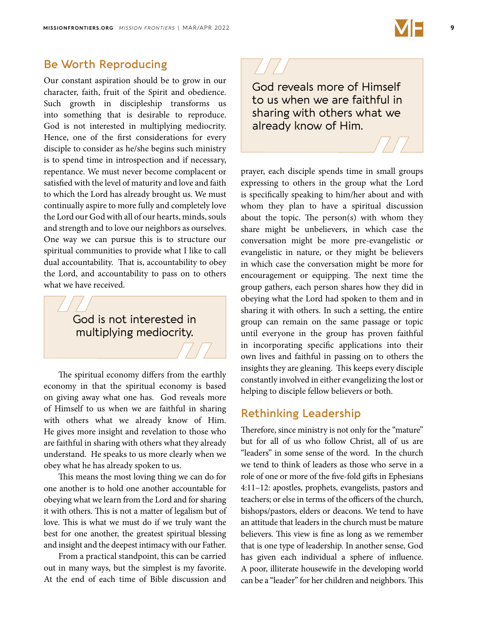

# **Be Worth Reproducing**

Our constant aspiration should be to grow in our character, faith, fruit of the Spirit and obedience. Such growth in discipleship transforms us into something that is desirable to reproduce. God is not interested in multiplying mediocrity. Hence, one of the first considerations for every disciple to consider as he/she begins such ministry is to spend time in introspection and if necessary, repentance. We must never become complacent or satisfied with the level of maturity and love and faith to which the Lord has already brought us. We must continually aspire to more fully and completely love the Lord our God with all of our hearts, minds, souls and strength and to love our neighbors as ourselves. One way we can pursue this is to structure our spiritual communities to provide what I like to call dual accountability. That is, accountability to obey the Lord, and accountability to pass on to others what we have received.

> God is not interested in multiplying mediocrity.

The spiritual economy differs from the earthly economy in that the spiritual economy is based on giving away what one has. God reveals more of Himself to us when we are faithful in sharing with others what we already know of Him. He gives more insight and revelation to those who are faithful in sharing with others what they already understand. He speaks to us more clearly when we obey what he has already spoken to us.

This means the most loving thing we can do for one another is to hold one another accountable for obeying what we learn from the Lord and for sharing it with others. This is not a matter of legalism but of love. This is what we must do if we truly want the best for one another, the greatest spiritual blessing and insight and the deepest intimacy with our Father.

From a practical standpoint, this can be carried out in many ways, but the simplest is my favorite. At the end of each time of Bible discussion and

God reveals more of Himself to us when we are faithful in sharing with others what we already know of Him.

prayer, each disciple spends time in small groups expressing to others in the group what the Lord is specifically speaking to him/her about and with whom they plan to have a spiritual discussion about the topic. The person(s) with whom they share might be unbelievers, in which case the conversation might be more pre-evangelistic or evangelistic in nature, or they might be believers in which case the conversation might be more for encouragement or equipping. The next time the group gathers, each person shares how they did in obeying what the Lord had spoken to them and in sharing it with others. In such a setting, the entire group can remain on the same passage or topic until everyone in the group has proven faithful in incorporating specific applications into their own lives and faithful in passing on to others the insights they are gleaning. This keeps every disciple constantly involved in either evangelizing the lost or helping to disciple fellow believers or both.

#### **Rethinking Leadership**

Therefore, since ministry is not only for the "mature" but for all of us who follow Christ, all of us are "leaders" in some sense of the word. In the church we tend to think of leaders as those who serve in a role of one or more of the five-fold gifts in Ephesians 4:11–12: apostles, prophets, evangelists, pastors and teachers; or else in terms of the officers of the church, bishops/pastors, elders or deacons. We tend to have an attitude that leaders in the church must be mature believers. This view is fine as long as we remember that is one type of leadership. In another sense, God has given each individual a sphere of influence. A poor, illiterate housewife in the developing world can be a "leader" for her children and neighbors. This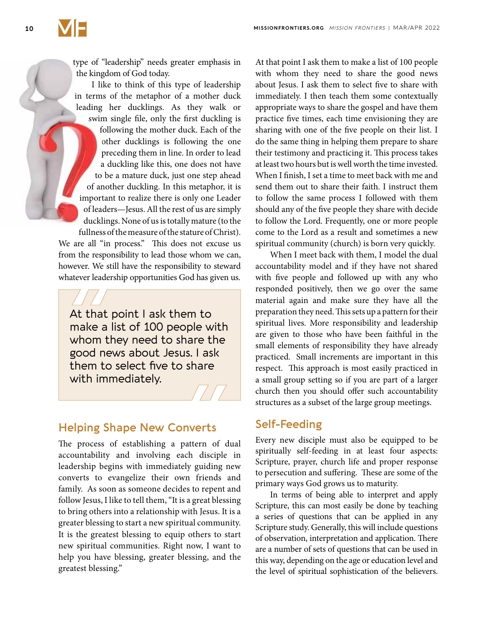

type of "leadership" needs greater emphasis in the kingdom of God today.

I like to think of this type of leadership in terms of the metaphor of a mother duck leading her ducklings. As they walk or swim single file, only the first duckling is following the mother duck. Each of the other ducklings is following the one preceding them in line. In order to lead a duckling like this, one does not have to be a mature duck, just one step ahead of another duckling. In this metaphor, it is important to realize there is only one Leader of leaders—Jesus. All the rest of us are simply ducklings. None of us is totally mature (to the fullness of the measure of the stature of Christ). We are all "in process." This does not excuse us from the responsibility to lead those whom we can,

however. We still have the responsibility to steward whatever leadership opportunities God has given us.

At that point I ask them to make a list of 100 people with whom they need to share the good news about Jesus. I ask them to select five to share with immediately.

# **Helping Shape New Converts**

The process of establishing a pattern of dual accountability and involving each disciple in leadership begins with immediately guiding new converts to evangelize their own friends and family. As soon as someone decides to repent and follow Jesus, I like to tell them, "It is a great blessing to bring others into a relationship with Jesus. It is a greater blessing to start a new spiritual community. It is the greatest blessing to equip others to start new spiritual communities. Right now, I want to help you have blessing, greater blessing, and the greatest blessing."

At that point I ask them to make a list of 100 people with whom they need to share the good news about Jesus. I ask them to select five to share with immediately. I then teach them some contextually appropriate ways to share the gospel and have them practice five times, each time envisioning they are sharing with one of the five people on their list. I do the same thing in helping them prepare to share their testimony and practicing it. This process takes at least two hours but is well worth the time invested. When I finish, I set a time to meet back with me and send them out to share their faith. I instruct them to follow the same process I followed with them should any of the five people they share with decide to follow the Lord. Frequently, one or more people come to the Lord as a result and sometimes a new spiritual community (church) is born very quickly.

When I meet back with them, I model the dual accountability model and if they have not shared with five people and followed up with any who responded positively, then we go over the same material again and make sure they have all the preparation they need. This sets up a pattern for their spiritual lives. More responsibility and leadership are given to those who have been faithful in the small elements of responsibility they have already practiced. Small increments are important in this respect. This approach is most easily practiced in a small group setting so if you are part of a larger church then you should offer such accountability structures as a subset of the large group meetings.

## **Self-Feeding**

Every new disciple must also be equipped to be spiritually self-feeding in at least four aspects: Scripture, prayer, church life and proper response to persecution and suffering. These are some of the primary ways God grows us to maturity.

In terms of being able to interpret and apply Scripture, this can most easily be done by teaching a series of questions that can be applied in any Scripture study. Generally, this will include questions of observation, interpretation and application. There are a number of sets of questions that can be used in this way, depending on the age or education level and the level of spiritual sophistication of the believers.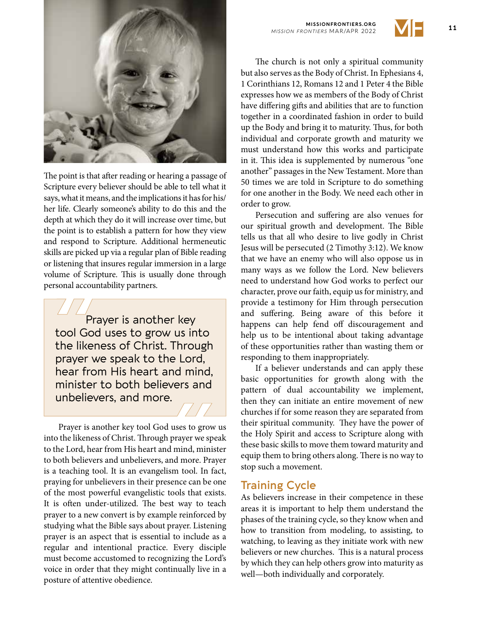

The point is that after reading or hearing a passage of Scripture every believer should be able to tell what it says, what it means, and the implications it has for his/ her life. Clearly someone's ability to do this and the depth at which they do it will increase over time, but the point is to establish a pattern for how they view and respond to Scripture. Additional hermeneutic skills are picked up via a regular plan of Bible reading or listening that insures regular immersion in a large volume of Scripture. This is usually done through personal accountability partners.

Prayer is another key tool God uses to grow us into the likeness of Christ. Through prayer we speak to the Lord, hear from His heart and mind, minister to both believers and unbelievers, and more.

Prayer is another key tool God uses to grow us into the likeness of Christ. Through prayer we speak to the Lord, hear from His heart and mind, minister to both believers and unbelievers, and more. Prayer is a teaching tool. It is an evangelism tool. In fact, praying for unbelievers in their presence can be one of the most powerful evangelistic tools that exists. It is often under-utilized. The best way to teach prayer to a new convert is by example reinforced by studying what the Bible says about prayer. Listening prayer is an aspect that is essential to include as a regular and intentional practice. Every disciple must become accustomed to recognizing the Lord's voice in order that they might continually live in a posture of attentive obedience.

**11 MISSIONFRONTIERS.ORG 11 11** *MISSION FRONTIERS* MAR/APR 2022



The church is not only a spiritual community but also serves as the Body of Christ. In Ephesians 4, 1 Corinthians 12, Romans 12 and 1 Peter 4 the Bible expresses how we as members of the Body of Christ have differing gifts and abilities that are to function together in a coordinated fashion in order to build up the Body and bring it to maturity. Thus, for both individual and corporate growth and maturity we must understand how this works and participate in it. This idea is supplemented by numerous "one another" passages in the New Testament. More than 50 times we are told in Scripture to do something for one another in the Body. We need each other in order to grow.

Persecution and suffering are also venues for our spiritual growth and development. The Bible tells us that all who desire to live godly in Christ Jesus will be persecuted (2 Timothy 3:12). We know that we have an enemy who will also oppose us in many ways as we follow the Lord. New believers need to understand how God works to perfect our character, prove our faith, equip us for ministry, and provide a testimony for Him through persecution and suffering. Being aware of this before it happens can help fend off discouragement and help us to be intentional about taking advantage of these opportunities rather than wasting them or responding to them inappropriately.

If a believer understands and can apply these basic opportunities for growth along with the pattern of dual accountability we implement, then they can initiate an entire movement of new churches if for some reason they are separated from their spiritual community. They have the power of the Holy Spirit and access to Scripture along with these basic skills to move them toward maturity and equip them to bring others along. There is no way to stop such a movement.

#### **Training Cycle**

As believers increase in their competence in these areas it is important to help them understand the phases of the training cycle, so they know when and how to transition from modeling, to assisting, to watching, to leaving as they initiate work with new believers or new churches. This is a natural process by which they can help others grow into maturity as well—both individually and corporately.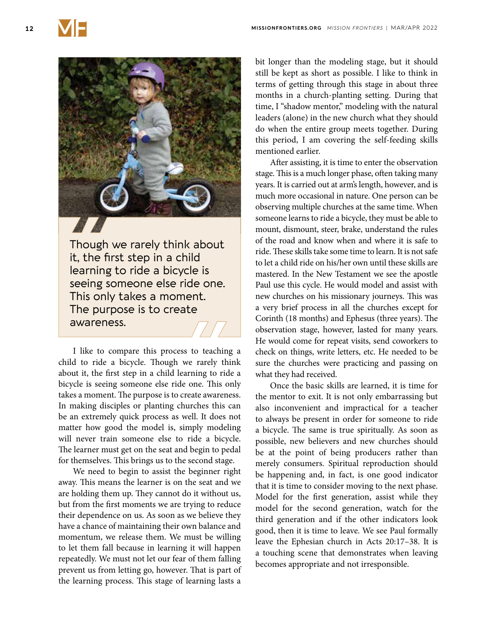

it, the first step in a child learning to ride a bicycle is seeing someone else ride one. This only takes a moment. The purpose is to create awareness.

I like to compare this process to teaching a child to ride a bicycle. Though we rarely think about it, the first step in a child learning to ride a bicycle is seeing someone else ride one. This only takes a moment. The purpose is to create awareness. In making disciples or planting churches this can be an extremely quick process as well. It does not matter how good the model is, simply modeling will never train someone else to ride a bicycle. The learner must get on the seat and begin to pedal for themselves. This brings us to the second stage.

We need to begin to assist the beginner right away. This means the learner is on the seat and we are holding them up. They cannot do it without us, but from the first moments we are trying to reduce their dependence on us. As soon as we believe they have a chance of maintaining their own balance and momentum, we release them. We must be willing to let them fall because in learning it will happen repeatedly. We must not let our fear of them falling prevent us from letting go, however. That is part of the learning process. This stage of learning lasts a

bit longer than the modeling stage, but it should still be kept as short as possible. I like to think in terms of getting through this stage in about three months in a church-planting setting. During that time, I "shadow mentor," modeling with the natural leaders (alone) in the new church what they should do when the entire group meets together. During this period, I am covering the self-feeding skills mentioned earlier.

After assisting, it is time to enter the observation stage. This is a much longer phase, often taking many years. It is carried out at arm's length, however, and is much more occasional in nature. One person can be observing multiple churches at the same time. When someone learns to ride a bicycle, they must be able to mount, dismount, steer, brake, understand the rules of the road and know when and where it is safe to ride. These skills take some time to learn. It is not safe to let a child ride on his/her own until these skills are mastered. In the New Testament we see the apostle Paul use this cycle. He would model and assist with new churches on his missionary journeys. This was a very brief process in all the churches except for Corinth (18 months) and Ephesus (three years). The observation stage, however, lasted for many years. He would come for repeat visits, send coworkers to check on things, write letters, etc. He needed to be sure the churches were practicing and passing on what they had received.

Once the basic skills are learned, it is time for the mentor to exit. It is not only embarrassing but also inconvenient and impractical for a teacher to always be present in order for someone to ride a bicycle. The same is true spiritually. As soon as possible, new believers and new churches should be at the point of being producers rather than merely consumers. Spiritual reproduction should be happening and, in fact, is one good indicator that it is time to consider moving to the next phase. Model for the first generation, assist while they model for the second generation, watch for the third generation and if the other indicators look good, then it is time to leave. We see Paul formally leave the Ephesian church in Acts 20:17–38. It is a touching scene that demonstrates when leaving becomes appropriate and not irresponsible.